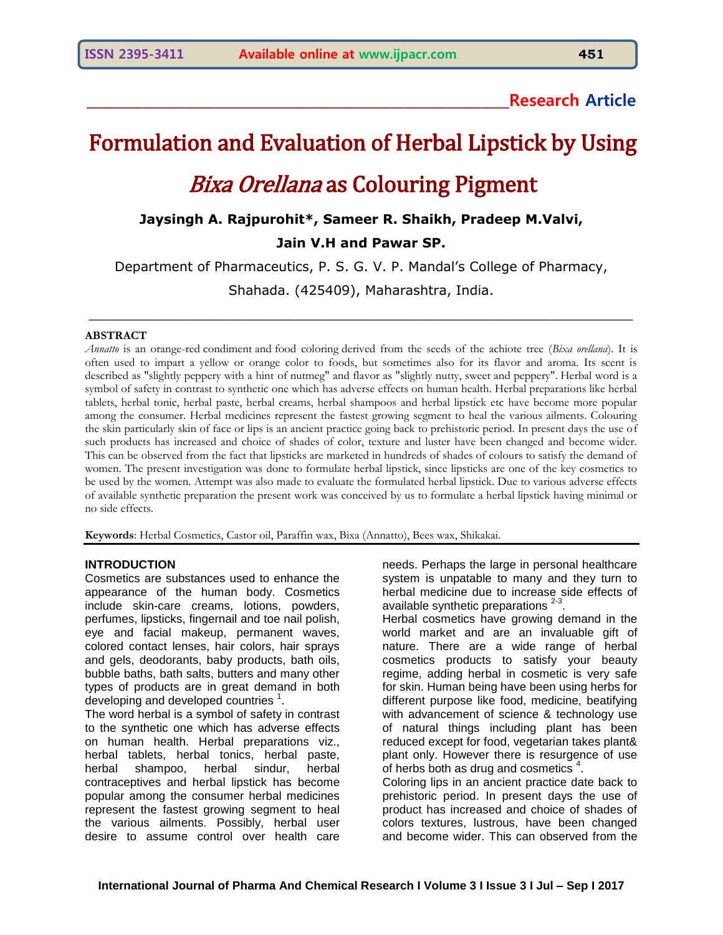**\_\_\_\_\_\_\_\_\_\_\_\_\_\_\_\_\_\_\_\_\_\_\_\_\_\_\_\_\_\_\_\_\_\_\_\_\_\_\_\_\_\_\_\_\_\_\_\_\_\_\_\_\_\_\_\_\_\_\_\_Research Article**

# Formulation and Evaluation of Herbal Lipstick by Using **Bixa Orellana as Colouring Pigment**

# **Jaysingh A. Rajpurohit\*, Sameer R. Shaikh, Pradeep M.Valvi, Jain V.H and Pawar SP.**

Department of Pharmaceutics, P. S. G. V. P. Mandal's College of Pharmacy,

Shahada. (425409), Maharashtra, India.

\_\_\_\_\_\_\_\_\_\_\_\_\_\_\_\_\_\_\_\_\_\_\_\_\_\_\_\_\_\_\_\_\_\_\_\_\_\_\_\_\_\_\_\_\_\_\_\_\_\_\_\_\_\_\_\_\_\_\_\_\_\_\_\_\_\_

# **ABSTRACT**

*Annatto* is an orange-red [condiment](https://en.wikipedia.org/wiki/Condiment) and [food coloring](https://en.wikipedia.org/wiki/Food_coloring) derived from the seeds of the achiote tree (*[Bixa orellana](https://en.wikipedia.org/wiki/Bixa_orellana)*). It is often used to impart a yellow or orange color to foods, but sometimes also for its flavor and aroma. Its scent is described as "slightly peppery with a hint of [nutmeg"](https://en.wikipedia.org/wiki/Nutmeg) and flavor as "slightly nutty, sweet and peppery". Herbal word is a symbol of safety in contrast to synthetic one which has adverse effects on human health. Herbal preparations like herbal tablets, herbal tonic, herbal paste, herbal creams, herbal shampoos and herbal lipstick etc have become more popular among the consumer. Herbal medicines represent the fastest growing segment to heal the various ailments. Colouring the skin particularly skin of face or lips is an ancient practice going back to prehistoric period. In present days the use of such products has increased and choice of shades of color, texture and luster have been changed and become wider. This can be observed from the fact that lipsticks are marketed in hundreds of shades of colours to satisfy the demand of women. The present investigation was done to formulate herbal lipstick, since lipsticks are one of the key cosmetics to be used by the women. Attempt was also made to evaluate the formulated herbal lipstick. Due to various adverse effects of available synthetic preparation the present work was conceived by us to formulate a herbal lipstick having minimal or no side effects.

**Keywords**: Herbal Cosmetics, Castor oil, Paraffin wax, Bixa (Annatto), Bees wax, Shikakai.

# **INTRODUCTION**

Cosmetics are substances used to enhance the appearance of the human body. Cosmetics include skin-care creams, lotions, powders, perfumes, lipsticks, fingernail and toe nail polish, eye and facial makeup, permanent waves, colored contact lenses, hair colors, hair sprays and gels, deodorants, baby products, bath oils, bubble baths, bath salts, butters and many other types of products are in great demand in both  $\det$  developing and developed countries  $\det$ 

The word herbal is a symbol of safety in contrast to the synthetic one which has adverse effects on human health. Herbal preparations viz., herbal tablets, herbal tonics, herbal paste, herbal shampoo, herbal sindur, herbal contraceptives and herbal lipstick has become popular among the consumer herbal medicines represent the fastest growing segment to heal the various ailments. Possibly, herbal user desire to assume control over health care

needs. Perhaps the large in personal healthcare system is unpatable to many and they turn to herbal medicine due to increase side effects of available synthetic preparations  $2-3$ .

Herbal cosmetics have growing demand in the world market and are an invaluable gift of nature. There are a wide range of herbal cosmetics products to satisfy your beauty regime, adding herbal in cosmetic is very safe for skin. Human being have been using herbs for different purpose like food, medicine, beatifying with advancement of science & technology use of natural things including plant has been reduced except for food, vegetarian takes plant& plant only. However there is resurgence of use of herbs both as drug and cosmetics  $4$ .

Coloring lips in an ancient practice date back to prehistoric period. In present days the use of product has increased and choice of shades of colors textures, lustrous, have been changed and become wider. This can observed from the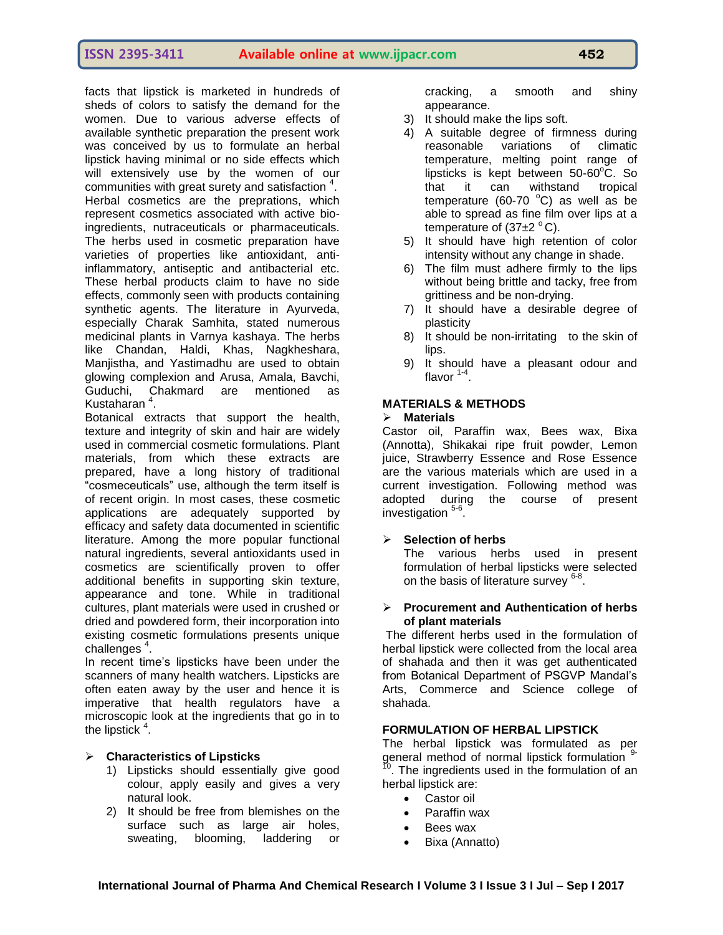facts that lipstick is marketed in hundreds of sheds of colors to satisfy the demand for the women. Due to various adverse effects of available synthetic preparation the present work was conceived by us to formulate an herbal lipstick having minimal or no side effects which will extensively use by the women of our communities with great surety and satisfaction <sup>4</sup>. Herbal cosmetics are the preprations, which represent cosmetics associated with active bioingredients, nutraceuticals or pharmaceuticals. The herbs used in cosmetic preparation have varieties of properties like antioxidant, antiinflammatory, antiseptic and antibacterial etc. These herbal products claim to have no side effects, commonly seen with products containing synthetic agents. The literature in Ayurveda, especially Charak Samhita, stated numerous medicinal plants in Varnya kashaya. The herbs like Chandan, Haldi, Khas, Nagkheshara, Manjistha, and Yastimadhu are used to obtain glowing complexion and Arusa, Amala, Bavchi, Guduchi, Chakmard are mentioned as Kustaharan<sup>4</sup>.

Botanical extracts that support the health, texture and integrity of skin and hair are widely used in commercial cosmetic formulations. Plant materials, from which these extracts are prepared, have a long history of traditional "cosmeceuticals" use, although the term itself is of recent origin. In most cases, these cosmetic applications are adequately supported by efficacy and safety data documented in scientific literature. Among the more popular functional natural ingredients, several antioxidants used in cosmetics are scientifically proven to offer additional benefits in supporting skin texture, appearance and tone. While in traditional cultures, plant materials were used in crushed or dried and powdered form, their incorporation into existing cosmetic formulations presents unique challenges<sup>4</sup>.

In recent time's lipsticks have been under the scanners of many health watchers. Lipsticks are often eaten away by the user and hence it is imperative that health regulators have a microscopic look at the ingredients that go in to the lipstick  $4$ .

# **Characteristics of Lipsticks**

- 1) Lipsticks should essentially give good colour, apply easily and gives a very natural look.
- 2) It should be free from blemishes on the surface such as large air holes, sweating, blooming, laddering or

cracking, a smooth and shiny appearance.

- 3) It should make the lips soft.
- 4) A suitable degree of firmness during reasonable variations of climatic temperature, melting point range of lipsticks is kept between  $50-60^{\circ}$ C. So that it can withstand tropical temperature (60-70  $^{\circ}$ C) as well as be able to spread as fine film over lips at a temperature of  $(37±2 °C)$ .
- 5) It should have high retention of color intensity without any change in shade.
- 6) The film must adhere firmly to the lips without being brittle and tacky, free from grittiness and be non-drying.
- 7) It should have a desirable degree of plasticity
- 8) It should be non-irritating to the skin of lips.
- 9) It should have a pleasant odour and flavor <sup>1-4</sup>.

# **MATERIALS & METHODS**

# **Materials**

Castor oil, Paraffin wax, Bees wax, Bixa (Annotta), Shikakai ripe fruit powder, Lemon juice, Strawberry Essence and Rose Essence are the various materials which are used in a current investigation. Following method was adopted during the course of present investigation <sup>5-6</sup>.

# **Selection of herbs**

The various herbs used in present formulation of herbal lipsticks were selected on the basis of literature survey <sup>6-8</sup>.

# **Procurement and Authentication of herbs of plant materials**

The different herbs used in the formulation of herbal lipstick were collected from the local area of shahada and then it was get authenticated from Botanical Department of PSGVP Mandal's Arts, Commerce and Science college of shahada.

# **FORMULATION OF HERBAL LIPSTICK**

The herbal lipstick was formulated as per general method of normal lipstick formulation <sup>9-</sup><br><sup>10</sup> The ingredients used in the formulation of an . The ingredients used in the formulation of an herbal lipstick are:

- Castor oil
- Paraffin wax
- Bees wax
- Bixa (Annatto)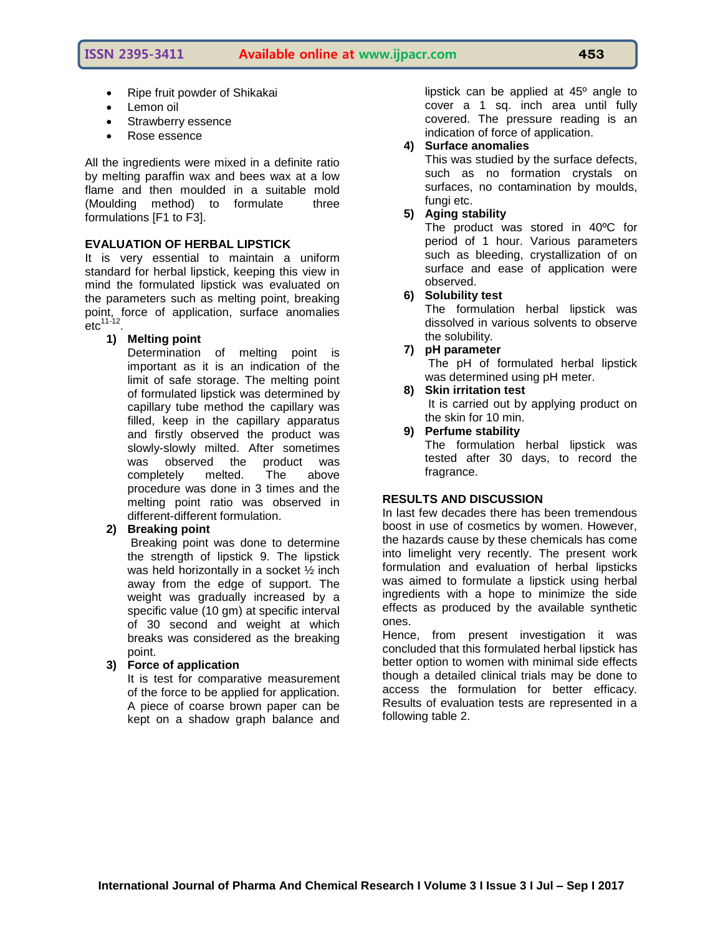**ISSN 2395-3411 Available online at www.ijpacr.com 453**

- Ripe fruit powder of Shikakai
- $\bullet$  Lemon oil
- Strawberry essence
- Rose essence

All the ingredients were mixed in a definite ratio by melting paraffin wax and bees wax at a low flame and then moulded in a suitable mold (Moulding method) to formulate three formulations [F1 to F3].

# **EVALUATION OF HERBAL LIPSTICK**

It is very essential to maintain a uniform standard for herbal lipstick, keeping this view in mind the formulated lipstick was evaluated on the parameters such as melting point, breaking point, force of application, surface anomalies  ${\rm \acute{e}t c}^{\rm 11\hbox{-}12}.$ 

# **1) Melting point**

Determination of melting point is important as it is an indication of the limit of safe storage. The melting point of formulated lipstick was determined by capillary tube method the capillary was filled, keep in the capillary apparatus and firstly observed the product was slowly-slowly milted. After sometimes was observed the product was<br>completely melted. The above completely melted. The procedure was done in 3 times and the melting point ratio was observed in different-different formulation.

# **2) Breaking point**

Breaking point was done to determine the strength of lipstick 9. The lipstick was held horizontally in a socket ½ inch away from the edge of support. The weight was gradually increased by a specific value (10 gm) at specific interval of 30 second and weight at which breaks was considered as the breaking point.

# **3) Force of application**

It is test for comparative measurement of the force to be applied for application. A piece of coarse brown paper can be kept on a shadow graph balance and

lipstick can be applied at 45º angle to cover a 1 sq. inch area until fully covered. The pressure reading is an indication of force of application.

# **4) Surface anomalies**

This was studied by the surface defects, such as no formation crystals on surfaces, no contamination by moulds, fungi etc.

# **5) Aging stability**

The product was stored in 40ºC for period of 1 hour. Various parameters such as bleeding, crystallization of on surface and ease of application were observed.

# **6) Solubility test**

The formulation herbal lipstick was dissolved in various solvents to observe the solubility.

# **7) pH parameter**

The pH of formulated herbal lipstick was determined using pH meter.

**8) Skin irritation test**

It is carried out by applying product on the skin for 10 min.

**9) Perfume stability** The formulation herbal lipstick was tested after 30 days, to record the fragrance.

# **RESULTS AND DISCUSSION**

In last few decades there has been tremendous boost in use of cosmetics by women. However, the hazards cause by these chemicals has come into limelight very recently. The present work formulation and evaluation of herbal lipsticks was aimed to formulate a lipstick using herbal ingredients with a hope to minimize the side effects as produced by the available synthetic ones.

Hence, from present investigation it was concluded that this formulated herbal lipstick has better option to women with minimal side effects though a detailed clinical trials may be done to access the formulation for better efficacy. Results of evaluation tests are represented in a following table 2.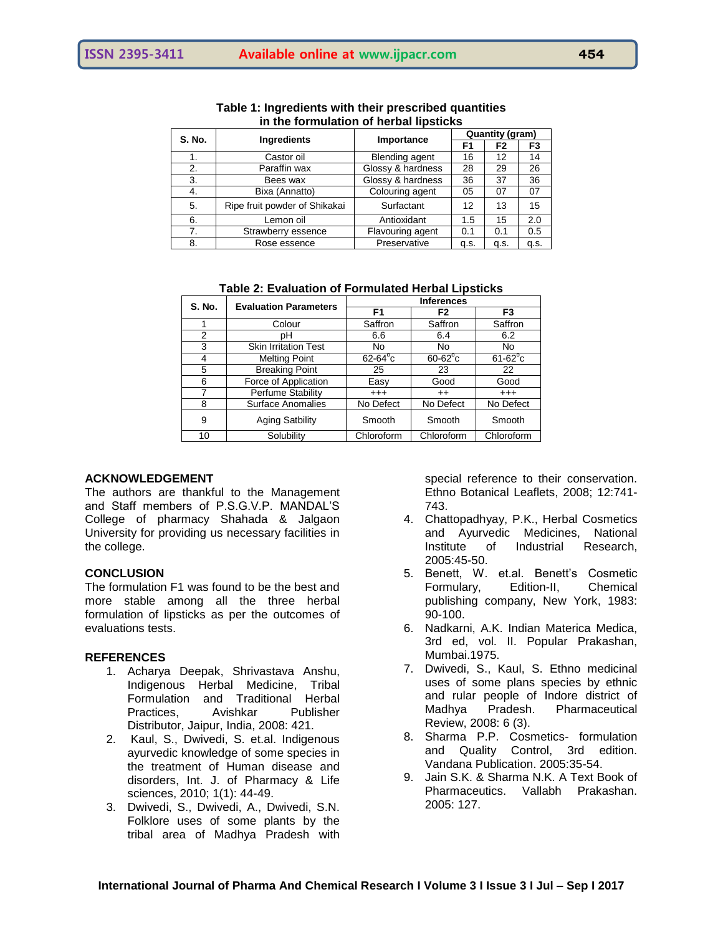| <b>S. No.</b> | <b>Ingredients</b>            | Importance            | Quantity (gram) |                |                |
|---------------|-------------------------------|-----------------------|-----------------|----------------|----------------|
|               |                               |                       | F1              | F <sub>2</sub> | F <sub>3</sub> |
|               | Castor oil                    | <b>Blending agent</b> | 16              | 12             | 14             |
| 2.            | Paraffin wax                  | Glossy & hardness     | 28              | 29             | 26             |
| 3.            | Bees wax                      | Glossy & hardness     | 36              | 37             | 36             |
| 4.            | Bixa (Annatto)                | Colouring agent       | 05              | 07             | 07             |
| 5.            | Ripe fruit powder of Shikakai | Surfactant            | 12              | 13             | 15             |
| 6.            | Lemon oil                     | Antioxidant           | 1.5             | 15             | 2.0            |
| 7.            | Strawberry essence            | Flavouring agent      | 0.1             | 0.1            | 0.5            |
| 8.            | Rose essence                  | Preservative          | q.s.            | q.s.           | q.s.           |

**Table 1: Ingredients with their prescribed quantities in the formulation of herbal lipsticks**

| <b>Table 2: Evaluation of Formulated Herbal Lipsticks</b> |  |  |
|-----------------------------------------------------------|--|--|
|-----------------------------------------------------------|--|--|

| <b>S. No.</b> | <b>Evaluation Parameters</b> | <b>Inferences</b> |                  |                  |
|---------------|------------------------------|-------------------|------------------|------------------|
|               |                              | F <sub>1</sub>    | F <sub>2</sub>   | F3               |
| 1             | Colour                       | Saffron           | Saffron          | Saffron          |
| 2             | pН                           | 6.6               | 6.4              | 6.2              |
| 3             | <b>Skin Irritation Test</b>  | No                | N <sub>o</sub>   | No.              |
| 4             | <b>Melting Point</b>         | $62-64^{\circ}c$  | $60-62^{\circ}c$ | $61-62^{\circ}c$ |
| 5             | <b>Breaking Point</b>        | 25                | 23               | 22               |
| 6             | Force of Application         | Easy              | Good             | Good             |
| 7             | Perfume Stability            | $^{+++}$          | $^{++}$          | $^{+++}$         |
| 8             | Surface Anomalies            | No Defect         | No Defect        | No Defect        |
| 9             | <b>Aging Satbility</b>       | Smooth            | Smooth           | Smooth           |
| 10            | Solubility                   | Chloroform        | Chloroform       | Chloroform       |

# **ACKNOWLEDGEMENT**

The authors are thankful to the Management and Staff members of P.S.G.V.P. MANDAL'S College of pharmacy Shahada & Jalgaon University for providing us necessary facilities in the college.

# **CONCLUSION**

The formulation F1 was found to be the best and more stable among all the three herbal formulation of lipsticks as per the outcomes of evaluations tests.

#### **REFERENCES**

- 1. Acharya Deepak, Shrivastava Anshu, Indigenous Herbal Medicine, Tribal Formulation and Traditional Herbal Practices, Avishkar Publisher Distributor, Jaipur, India, 2008: 421.
- 2. Kaul, S., Dwivedi, S. et.al. Indigenous ayurvedic knowledge of some species in the treatment of Human disease and disorders, Int. J. of Pharmacy & Life sciences, 2010; 1(1): 44-49.
- 3. Dwivedi, S., Dwivedi, A., Dwivedi, S.N. Folklore uses of some plants by the tribal area of Madhya Pradesh with

special reference to their conservation. Ethno Botanical Leaflets, 2008; 12:741- 743.

- 4. Chattopadhyay, P.K., Herbal Cosmetics and Ayurvedic Medicines, National Institute of Industrial Research, 2005:45-50.
- 5. Benett, W. et.al. Benett's Cosmetic Formulary, Edition-II, Chemical publishing company, New York, 1983: 90-100.
- 6. Nadkarni, A.K. Indian Materica Medica, 3rd ed, vol. II. Popular Prakashan, Mumbai.1975.
- 7. Dwivedi, S., Kaul, S. Ethno medicinal uses of some plans species by ethnic and rular people of Indore district of Madhya Pradesh. Pharmaceutical Review, 2008: 6 (3).
- 8. Sharma P.P. Cosmetics- formulation and Quality Control, 3rd edition. Vandana Publication. 2005:35-54.
- 9. Jain S.K. & Sharma N.K. A Text Book of Pharmaceutics. Vallabh Prakashan. 2005: 127.